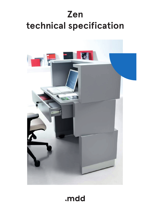# **Zen technical specification**



.mdd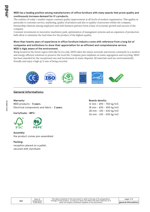#### **MDD has a leading position among manufacturers of office furniture with many awards that prove quality and continuously increase demand for it`s products.**

The realities of today`s market require constant quality improvement at all levels of modern organization. This applies in particular to customer service, marketing, quality of products and also to quality of processes within the company. Partnership relations among employees and with business partners form a base of economic growth and success of the company.

Constant investments in innovative machinery park, optimization of managment systems and an expansion of production halls allow to minimize the lead times for the product of the highest quality.

#### **More than twenty years of experience in office furniture industry come with reference from a long list of companies and institutions to show their appreciation for an efficient and comprehensive service. MDD is higly aware of the environment.**

Being located in the forest region with lake by it1s side, MDD takes the nature seriously and invests constantly in a modern and energy-efficient solutions to preserve the local life. Company puts emphasis on waste segregation and recycling. MDD has been awarded for the exceptional care and involvement in waste disposal. All materials used are environmentally friendly and enjoy a high 95 % rate of being recycled.



# **General informations:**

# **Warranty :**

MDD products - **5 years**. Electrical components and fabric - **2 years**.

**Certyficate - MFC:**



#### **Assembly:** the product comes pre-assembled

### **Packing:**

reception placed on a pallet, secured with styrofoam

#### **Boards density:**

12 mm - 690 - 750 kg/m3 18 mm - 650 - 690 kg/m3 28 mm - 610 - 630 kg/m3 36 mm - 610 - 630 kg/m3

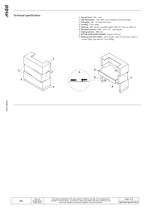#### **Technical specification**

- **1. Top and front** HPL mat
- **2. LED illumination** cold white color (verging on the blue shade)
- **3. Kick plate** HPL brushed aluminium
- **4. Leveling** 5 mm range
- **5. Worktop** MFC 28 mm; possible heights: 680 mm, 720 mm, 830 mm
- **6. Reception interior** MFC, colour: 67 white pastel
- **7. Cable grommets** Ø80 mm
- **8. OPTION WITH EXTRA CHARGE** Drawer with lock
- **9. Optional foot with wheels -** extra charge 4pcs in a set (max. load for 1 wheel 120kg, max load for 1 foot 200kg)



| Zen | Date of                   | The data contained in this document is valid in the day of its preparation.<br>Change of the product, as long as it does not affect the basic features of it, | page $3/6$                                        |
|-----|---------------------------|---------------------------------------------------------------------------------------------------------------------------------------------------------------|---------------------------------------------------|
|     | preparation<br>16.09.2020 | does not require consistent updates of the document.                                                                                                          | $\mathsf{I}$ technical specification $\mathsf{I}$ |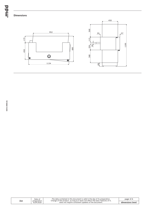bpun.

**Dimensions**



| Zen | Date of<br>preparation<br>16.09.2020 | The data contained in this document is valid in the day of its preparation.<br>Change of the product, as long as it does not affect the basic features of it, | page $4/6$      |
|-----|--------------------------------------|---------------------------------------------------------------------------------------------------------------------------------------------------------------|-----------------|
|     |                                      | does not require consistent updates of the document.                                                                                                          | dimensions (mm) |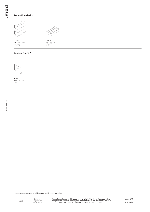# **Reception desks \***





1135 / 680 / 1200 **LZE10** 100.5 kg

# **LZS01** 948 / 493 / 160

13 kg

# **Sneeze guard \***



**NPX1** 1000 / 250 / 750 3 kg

\* dimensions expressed in millimeters: width x depth x height

| Zen | Date of<br>preparation<br>16.09.2020 | The data contained in this document is valid in the day of its preparation.<br>Change of the product, as long as it does not affect the basic features of it, | page 5/6 |
|-----|--------------------------------------|---------------------------------------------------------------------------------------------------------------------------------------------------------------|----------|
|     |                                      | does not require consistent updates of the document.                                                                                                          | products |